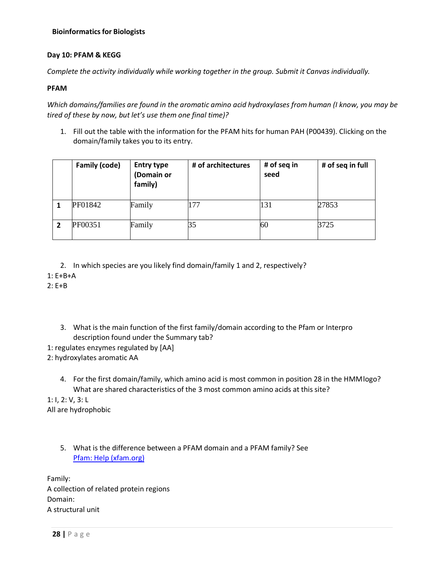# **Bioinformatics for Biologists**

## **Day 10: PFAM & KEGG**

*Complete the activity individually while working together in the group. Submit it Canvas individually.* 

## **PFAM**

*Which domains/families are found in the aromatic amino acid hydroxylases from human (I know, you may be tired of these by now, but let's use them one final time)?*

1. Fill out the table with the information for the PFAM hits for human PAH (P00439). Clicking on the domain/family takes you to its entry.

|   | Family (code) | <b>Entry type</b><br>(Domain or<br>family) | # of architectures | # of seq in<br>seed | # of seq in full |
|---|---------------|--------------------------------------------|--------------------|---------------------|------------------|
|   | PF01842       | Family                                     | 177                | 131                 | 27853            |
| 2 | PF00351       | Family                                     | 35                 | 60                  | 3725             |

- 2. In which species are you likely find domain/family 1 and 2, respectively?
- 1: E+B+A

 $2: F + B$ 

- 3. What is the main function of the first family/domain according to the Pfam or Interpro description found under the Summary tab?
- 1: regulates enzymes regulated by [AA]
- 2: hydroxylates aromatic AA
	- 4. For the first domain/family, which amino acid is most common in position 28 in the HMM logo? What are shared characteristics of the 3 most common amino acids at this site?

1: I, 2: V, 3: L All are hydrophobic

> 5. What is the difference between a PFAM domain and a PFAM family? See [Pfam: Help \(xfam.org\)](http://pfam.xfam.org/help)

Family: A collection of related protein regions Domain: A structural unit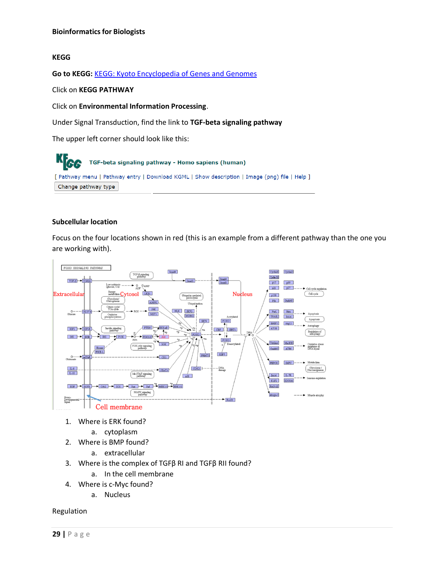### **KEGG**

**Go to KEGG:** [KEGG: Kyoto Encyclopedia of Genes and Genomes](https://www.genome.jp/kegg/)

Click on **KEGG PATHWAY**

Click on **Environmental Information Processing**.

Under Signal Transduction, find the link to **TGF-beta signaling pathway**

The upper left corner should look like this:

KFGG TGF-beta signaling pathway - Homo sapiens (human) [ Pathway menu | Pathway entry | Download KGML | Show description | Image (png) file | Help ] Change pathway type

### **Subcellular location**

Focus on the four locations shown in red (this is an example from a different pathway than the one you are working with).



- 1. Where is ERK found?
	- a. cytoplasm
- 2. Where is BMP found?
	- a. extracellular
- 3. Where is the complex of TGFβ RI and TGFβ RII found?
	- a. In the cell membrane
- 4. Where is c-Myc found?
	- a. Nucleus

Regulation